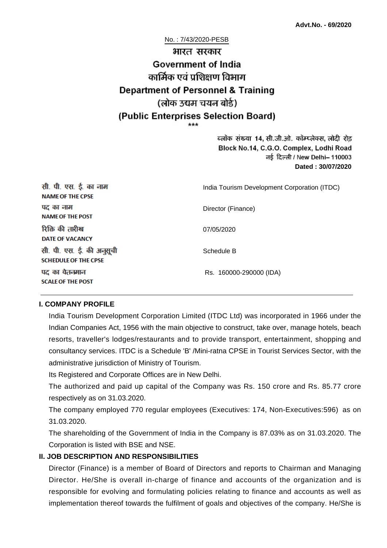#### No. : 7/43/2020-PESB

# भारत सरकार **Government of India** कार्मिक एवं पशिक्षण विभाग **Department of Personnel & Training** (लोक उद्यम चयन बोर्ड) (Public Enterprises Selection Board)

ब्लॉक संख्या 14, सी.जी.ओ. कॉम्प्लेक्स, लोदी रोड Block No.14, C.G.O. Complex, Lodhi Road ਰई दिल्ली / New Delhi– 110003 **Dated : 30/07/2020**

| सी. पी. एस. ई. का नाम<br><b>NAME OF THE CPSE</b>         | India Tourism Development Corporation (ITDC) |  |
|----------------------------------------------------------|----------------------------------------------|--|
| पद का नाम<br><b>NAME OF THE POST</b>                     | Director (Finance)                           |  |
| रिक्ति की तारीख<br><b>DATE OF VACANCY</b>                | 07/05/2020                                   |  |
| सी. पी. एस. ई. की अनुसूची<br><b>SCHEDULE OF THE CPSE</b> | Schedule B                                   |  |
| पद का वेतनमान<br><b>SCALE OF THE POST</b>                | Rs. 160000-290000 (IDA)                      |  |

#### **I. COMPANY PROFILE**

India Tourism Development Corporation Limited (ITDC Ltd) was incorporated in 1966 under the Indian Companies Act, 1956 with the main objective to construct, take over, manage hotels, beach resorts, traveller's lodges/restaurants and to provide transport, entertainment, shopping and consultancy services. ITDC is a Schedule 'B' /Mini-ratna CPSE in Tourist Services Sector, with the administrative jurisdiction of Ministry of Tourism.

Its Registered and Corporate Offices are in New Delhi.

The authorized and paid up capital of the Company was Rs. 150 crore and Rs. 85.77 crore respectively as on 31.03.2020.

The company employed 770 regular employees (Executives: 174, Non-Executives:596) as on 31.03.2020.

The shareholding of the Government of India in the Company is 87.03% as on 31.03.2020. The Corporation is listed with BSE and NSE.

### **II. JOB DESCRIPTION AND RESPONSIBILITIES**

Director (Finance) is a member of Board of Directors and reports to Chairman and Managing Director. He/She is overall in-charge of finance and accounts of the organization and is responsible for evolving and formulating policies relating to finance and accounts as well as implementation thereof towards the fulfilment of goals and objectives of the company. He/She is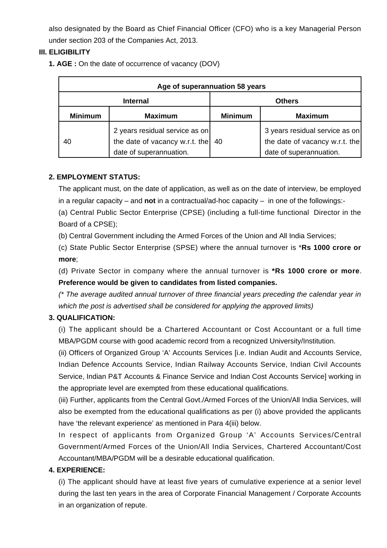also designated by the Board as Chief Financial Officer (CFO) who is a key Managerial Person under section 203 of the Companies Act, 2013.

### **III. ELIGIBILITY**

**1. AGE :** On the date of occurrence of vacancy (DOV)

| Age of superannuation 58 years |                                                                                             |                |                                                                                             |  |
|--------------------------------|---------------------------------------------------------------------------------------------|----------------|---------------------------------------------------------------------------------------------|--|
| <b>Internal</b>                |                                                                                             | <b>Others</b>  |                                                                                             |  |
| <b>Minimum</b>                 | <b>Maximum</b>                                                                              | <b>Minimum</b> | <b>Maximum</b>                                                                              |  |
| 40                             | 2 years residual service as on<br>the date of vacancy w.r.t. the<br>date of superannuation. | 40             | 3 years residual service as on<br>the date of vacancy w.r.t. the<br>date of superannuation. |  |

### **2. EMPLOYMENT STATUS:**

The applicant must, on the date of application, as well as on the date of interview, be employed in a regular capacity – and **not** in a contractual/ad-hoc capacity – in one of the followings:-

(a) Central Public Sector Enterprise (CPSE) (including a full-time functional Director in the Board of a CPSE);

(b) Central Government including the Armed Forces of the Union and All India Services;

(c) State Public Sector Enterprise (SPSE) where the annual turnover is \***Rs 1000 crore or more**;

(d) Private Sector in company where the annual turnover is **\*Rs 1000 crore or more**. **Preference would be given to candidates from listed companies.**

(\* The average audited annual turnover of three financial years preceding the calendar year in which the post is advertised shall be considered for applying the approved limits)

### **3. QUALIFICATION:**

(i) The applicant should be a Chartered Accountant or Cost Accountant or a full time MBA/PGDM course with good academic record from a recognized University/Institution.

(ii) Officers of Organized Group 'A' Accounts Services [i.e. Indian Audit and Accounts Service, Indian Defence Accounts Service, Indian Railway Accounts Service, Indian Civil Accounts Service, Indian P&T Accounts & Finance Service and Indian Cost Accounts Service] working in the appropriate level are exempted from these educational qualifications.

(iii) Further, applicants from the Central Govt./Armed Forces of the Union/All India Services, will also be exempted from the educational qualifications as per (i) above provided the applicants have 'the relevant experience' as mentioned in Para 4(iii) below.

In respect of applicants from Organized Group 'A' Accounts Services/Central Government/Armed Forces of the Union/All India Services, Chartered Accountant/Cost Accountant/MBA/PGDM will be a desirable educational qualification.

### **4. EXPERIENCE:**

(i) The applicant should have at least five years of cumulative experience at a senior level during the last ten years in the area of Corporate Financial Management / Corporate Accounts in an organization of repute.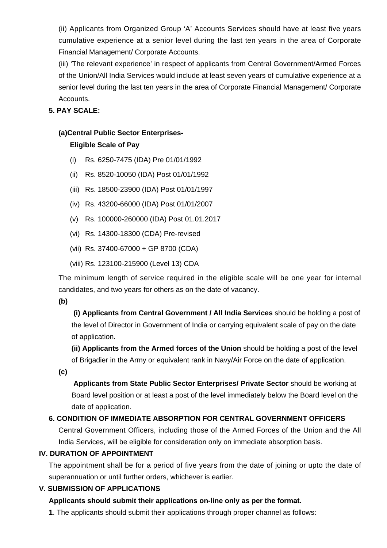(ii) Applicants from Organized Group 'A' Accounts Services should have at least five years cumulative experience at a senior level during the last ten years in the area of Corporate Financial Management/ Corporate Accounts.

(iii) 'The relevant experience' in respect of applicants from Central Government/Armed Forces of the Union/All India Services would include at least seven years of cumulative experience at a senior level during the last ten years in the area of Corporate Financial Management/ Corporate Accounts.

### **5. PAY SCALE:**

# **(a)Central Public Sector Enterprises-**

### **Eligible Scale of Pay**

- (i) Rs. 6250-7475 (IDA) Pre 01/01/1992
- (ii) Rs. 8520-10050 (IDA) Post 01/01/1992
- (iii) Rs. 18500-23900 (IDA) Post 01/01/1997
- (iv) Rs. 43200-66000 (IDA) Post 01/01/2007
- (v) Rs. 100000-260000 (IDA) Post 01.01.2017
- (vi) Rs. 14300-18300 (CDA) Pre-revised
- (vii) Rs. 37400-67000 + GP 8700 (CDA)
- (viii) Rs. 123100-215900 (Level 13) CDA

The minimum length of service required in the eligible scale will be one year for internal candidates, and two years for others as on the date of vacancy.

#### **(b)**

**(i) Applicants from Central Government / All India Services** should be holding a post of the level of Director in Government of India or carrying equivalent scale of pay on the date of application.

**(ii) Applicants from the Armed forces of the Union** should be holding a post of the level of Brigadier in the Army or equivalent rank in Navy/Air Force on the date of application.

**(c)**

 **Applicants from State Public Sector Enterprises/ Private Sector** should be working at Board level position or at least a post of the level immediately below the Board level on the date of application.

### **6. CONDITION OF IMMEDIATE ABSORPTION FOR CENTRAL GOVERNMENT OFFICERS**

Central Government Officers, including those of the Armed Forces of the Union and the All India Services, will be eligible for consideration only on immediate absorption basis.

### **IV. DURATION OF APPOINTMENT**

The appointment shall be for a period of five years from the date of joining or upto the date of superannuation or until further orders, whichever is earlier.

### **V. SUBMISSION OF APPLICATIONS**

### **Applicants should submit their applications on-line only as per the format.**

**1**. The applicants should submit their applications through proper channel as follows: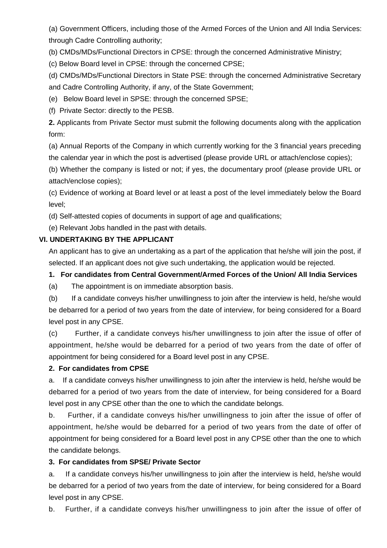(a) Government Officers, including those of the Armed Forces of the Union and All India Services: through Cadre Controlling authority;

(b) CMDs/MDs/Functional Directors in CPSE: through the concerned Administrative Ministry;

(c) Below Board level in CPSE: through the concerned CPSE;

(d) CMDs/MDs/Functional Directors in State PSE: through the concerned Administrative Secretary and Cadre Controlling Authority, if any, of the State Government;

(e) Below Board level in SPSE: through the concerned SPSE;

(f) Private Sector: directly to the PESB.

**2.** Applicants from Private Sector must submit the following documents along with the application form:

(a) Annual Reports of the Company in which currently working for the 3 financial years preceding the calendar year in which the post is advertised (please provide URL or attach/enclose copies);

(b) Whether the company is listed or not; if yes, the documentary proof (please provide URL or attach/enclose copies);

(c) Evidence of working at Board level or at least a post of the level immediately below the Board level;

(d) Self-attested copies of documents in support of age and qualifications;

(e) Relevant Jobs handled in the past with details.

# **VI. UNDERTAKING BY THE APPLICANT**

An applicant has to give an undertaking as a part of the application that he/she will join the post, if selected. If an applicant does not give such undertaking, the application would be rejected.

# **1. For candidates from Central Government/Armed Forces of the Union/ All India Services**

(a) The appointment is on immediate absorption basis.

(b) If a candidate conveys his/her unwillingness to join after the interview is held, he/she would be debarred for a period of two years from the date of interview, for being considered for a Board level post in any CPSE.

(c) Further, if a candidate conveys his/her unwillingness to join after the issue of offer of appointment, he/she would be debarred for a period of two years from the date of offer of appointment for being considered for a Board level post in any CPSE.

### **2. For candidates from CPSE**

a. If a candidate conveys his/her unwillingness to join after the interview is held, he/she would be debarred for a period of two years from the date of interview, for being considered for a Board level post in any CPSE other than the one to which the candidate belongs.

b. Further, if a candidate conveys his/her unwillingness to join after the issue of offer of appointment, he/she would be debarred for a period of two years from the date of offer of appointment for being considered for a Board level post in any CPSE other than the one to which the candidate belongs.

# **3. For candidates from SPSE/ Private Sector**

a. If a candidate conveys his/her unwillingness to join after the interview is held, he/she would be debarred for a period of two years from the date of interview, for being considered for a Board level post in any CPSE.

b. Further, if a candidate conveys his/her unwillingness to join after the issue of offer of